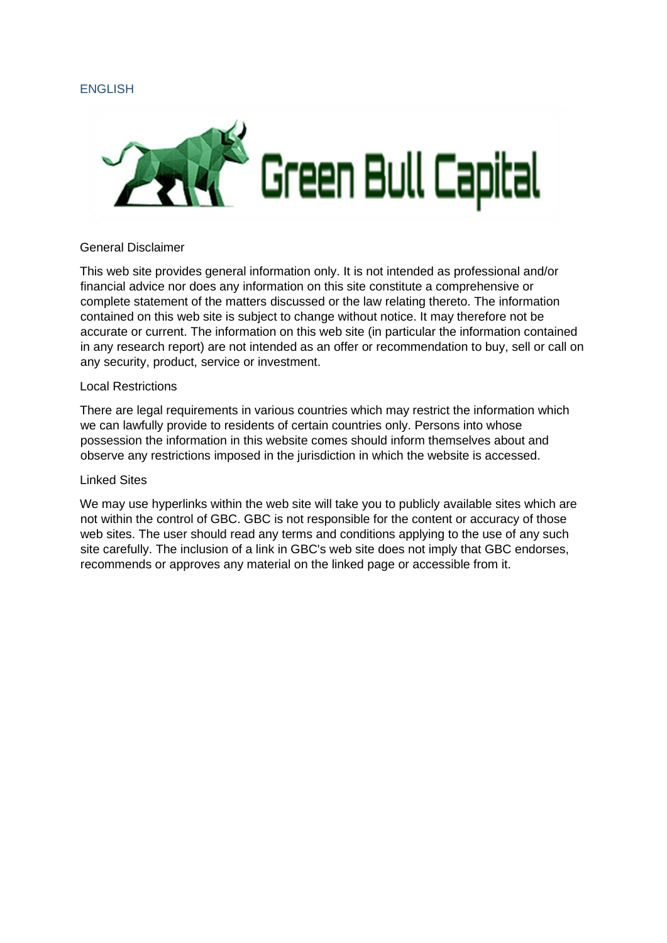## ENGLISH



#### General Disclaimer

This web site provides general information only. It is not intended as professional and/or financial advice nor does any information on this site constitute a comprehensive or complete statement of the matters discussed or the law relating thereto. The information contained on this web site is subject to change without notice. It may therefore not be accurate or current. The information on this web site (in particular the information contained in any research report) are not intended as an offer or recommendation to buy, sell or call on any security, product, service or investment.

## Local Restrictions

There are legal requirements in various countries which may restrict the information which we can lawfully provide to residents of certain countries only. Persons into whose possession the information in this website comes should inform themselves about and observe any restrictions imposed in the jurisdiction in which the website is accessed.

#### Linked Sites

We may use hyperlinks within the web site will take you to publicly available sites which are not within the control of GBC. GBC is not responsible for the content or accuracy of those web sites. The user should read any terms and conditions applying to the use of any such site carefully. The inclusion of a link in GBC's web site does not imply that GBC endorses, recommends or approves any material on the linked page or accessible from it.